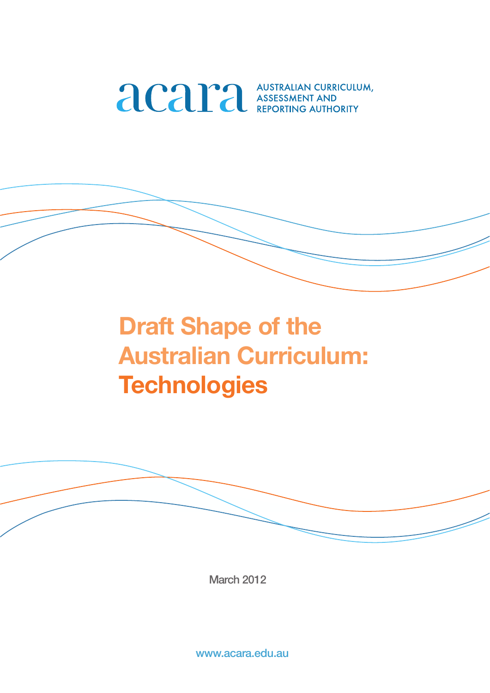

# **Draft Shape of the Australian Curriculum: Technologies**



March 2012

www.acara.edu.au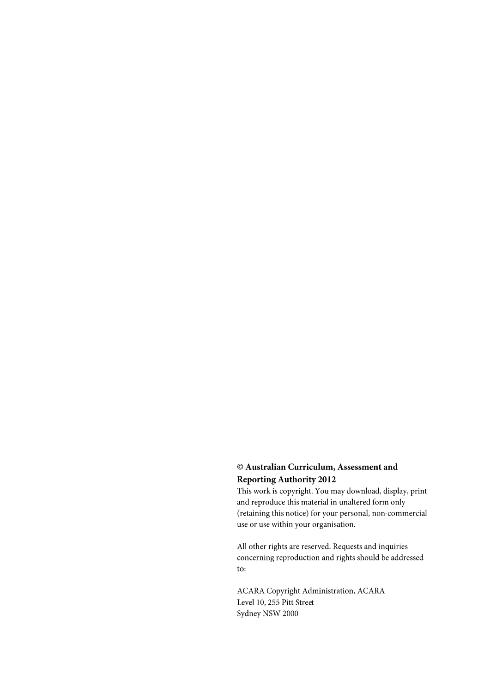### © Australian Curriculum, Assessment and **Reporting Authority 2012**

This work is copyright. You may download, display, print and reproduce this material in unaltered form only (retaining this notice) for your personal, non-commercial use or use within your organisation.

All other rights are reserved. Requests and inquiries concerning reproduction and rights should be addressed to:

**ACARA Copyright Administration, ACARA** Level 10, 255 Pitt Street Sydney NSW 2000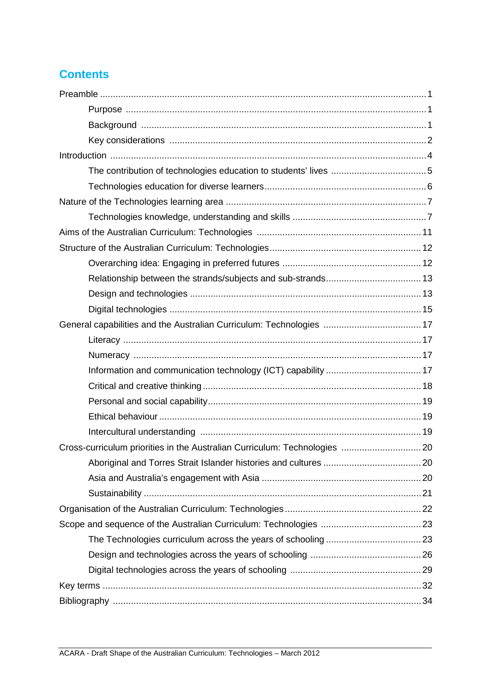# **Contents**

| General capabilities and the Australian Curriculum: Technologies  17       |  |
|----------------------------------------------------------------------------|--|
|                                                                            |  |
|                                                                            |  |
|                                                                            |  |
|                                                                            |  |
|                                                                            |  |
|                                                                            |  |
|                                                                            |  |
| Cross-curriculum priorities in the Australian Curriculum: Technologies  20 |  |
|                                                                            |  |
|                                                                            |  |
|                                                                            |  |
|                                                                            |  |
|                                                                            |  |
|                                                                            |  |
|                                                                            |  |
|                                                                            |  |
|                                                                            |  |
|                                                                            |  |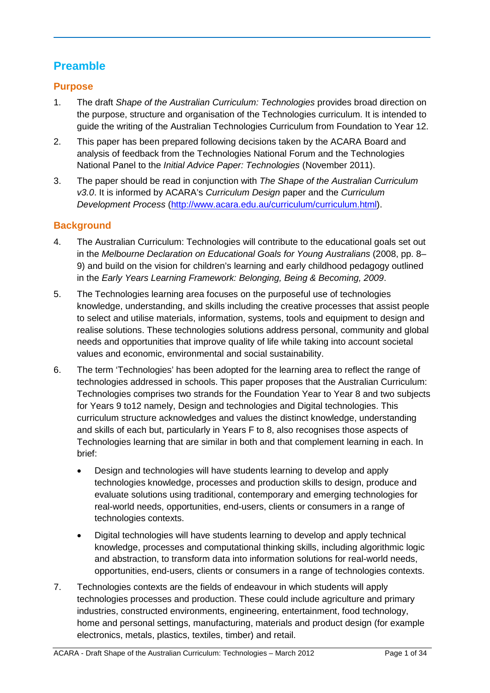# **Preamble**

# **Purpose**

- 1. The draft *Shape of the Australian Curriculum: Technologies* provides broad direction on the purpose, structure and organisation of the Technologies curriculum. It is intended to guide the writing of the Australian Technologies Curriculum from Foundation to Year 12.
- 2. This paper has been prepared following decisions taken by the ACARA Board and analysis of feedback from the Technologies National Forum and the Technologies National Panel to the *Initial Advice Paper: Technologies* (November 2011).
- 3. The paper should be read in conjunction with *The Shape of the Australian Curriculum v3.0*. It is informed by ACARA's *Curriculum Design* paper and the *Curriculum Development Process* [\(http://www.acara.edu.au/curriculum/curriculum.html\)](http://www.acara.edu.au/curriculum/curriculum.html).

# **Background**

- 4. The Australian Curriculum: Technologies will contribute to the educational goals set out in the *Melbourne Declaration on Educational Goals for Young Australians* (2008, pp. 8– 9) and build on the vision for children's learning and early childhood pedagogy outlined in the *Early Years Learning Framework: Belonging, Being & Becoming, 2009*.
- 5. The Technologies learning area focuses on the purposeful use of technologies knowledge, understanding, and skills including the creative processes that assist people to select and utilise materials, information, systems, tools and equipment to design and realise solutions. These technologies solutions address personal, community and global needs and opportunities that improve quality of life while taking into account societal values and economic, environmental and social sustainability.
- 6. The term 'Technologies' has been adopted for the learning area to reflect the range of technologies addressed in schools. This paper proposes that the Australian Curriculum: Technologies comprises two strands for the Foundation Year to Year 8 and two subjects for Years 9 to12 namely, Design and technologies and Digital technologies. This curriculum structure acknowledges and values the distinct knowledge, understanding and skills of each but, particularly in Years F to 8, also recognises those aspects of Technologies learning that are similar in both and that complement learning in each. In brief:
	- Design and technologies will have students learning to develop and apply technologies knowledge, processes and production skills to design, produce and evaluate solutions using traditional, contemporary and emerging technologies for real-world needs, opportunities, end-users, clients or consumers in a range of technologies contexts.
	- Digital technologies will have students learning to develop and apply technical knowledge, processes and computational thinking skills, including algorithmic logic and abstraction, to transform data into information solutions for real-world needs, opportunities, end-users, clients or consumers in a range of technologies contexts.
- 7. Technologies contexts are the fields of endeavour in which students will apply technologies processes and production. These could include agriculture and primary industries, constructed environments, engineering, entertainment, food technology, home and personal settings, manufacturing, materials and product design (for example electronics, metals, plastics, textiles, timber) and retail.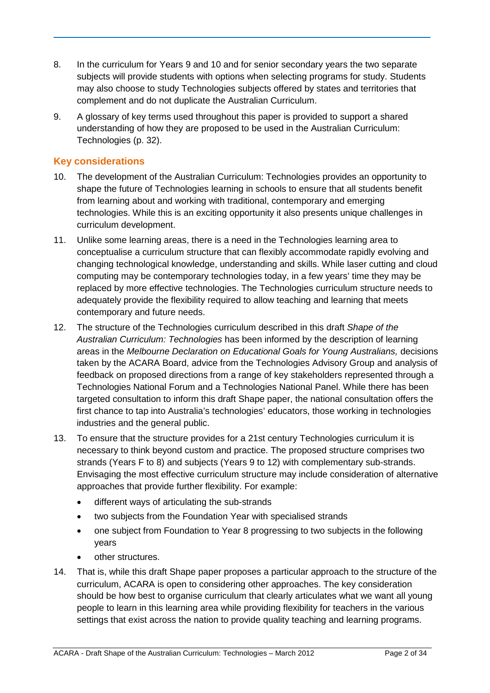- 8. In the curriculum for Years 9 and 10 and for senior secondary years the two separate subjects will provide students with options when selecting programs for study. Students may also choose to study Technologies subjects offered by states and territories that complement and do not duplicate the Australian Curriculum.
- 9. A glossary of key terms used throughout this paper is provided to support a shared understanding of how they are proposed to be used in the Australian Curriculum: Technologies (p. 32).

# **Key considerations**

- 10. The development of the Australian Curriculum: Technologies provides an opportunity to shape the future of Technologies learning in schools to ensure that all students benefit from learning about and working with traditional, contemporary and emerging technologies. While this is an exciting opportunity it also presents unique challenges in curriculum development.
- 11. Unlike some learning areas, there is a need in the Technologies learning area to conceptualise a curriculum structure that can flexibly accommodate rapidly evolving and changing technological knowledge, understanding and skills. While laser cutting and cloud computing may be contemporary technologies today, in a few years' time they may be replaced by more effective technologies. The Technologies curriculum structure needs to adequately provide the flexibility required to allow teaching and learning that meets contemporary and future needs.
- 12. The structure of the Technologies curriculum described in this draft *Shape of the Australian Curriculum: Technologies* has been informed by the description of learning areas in the *Melbourne Declaration on Educational Goals for Young Australians,* decisions taken by the ACARA Board, advice from the Technologies Advisory Group and analysis of feedback on proposed directions from a range of key stakeholders represented through a Technologies National Forum and a Technologies National Panel. While there has been targeted consultation to inform this draft Shape paper, the national consultation offers the first chance to tap into Australia's technologies' educators, those working in technologies industries and the general public.
- 13. To ensure that the structure provides for a 21st century Technologies curriculum it is necessary to think beyond custom and practice. The proposed structure comprises two strands (Years F to 8) and subjects (Years 9 to 12) with complementary sub-strands. Envisaging the most effective curriculum structure may include consideration of alternative approaches that provide further flexibility. For example:
	- different ways of articulating the sub-strands
	- two subjects from the Foundation Year with specialised strands
	- one subject from Foundation to Year 8 progressing to two subjects in the following years
	- other structures.
- 14. That is, while this draft Shape paper proposes a particular approach to the structure of the curriculum, ACARA is open to considering other approaches. The key consideration should be how best to organise curriculum that clearly articulates what we want all young people to learn in this learning area while providing flexibility for teachers in the various settings that exist across the nation to provide quality teaching and learning programs.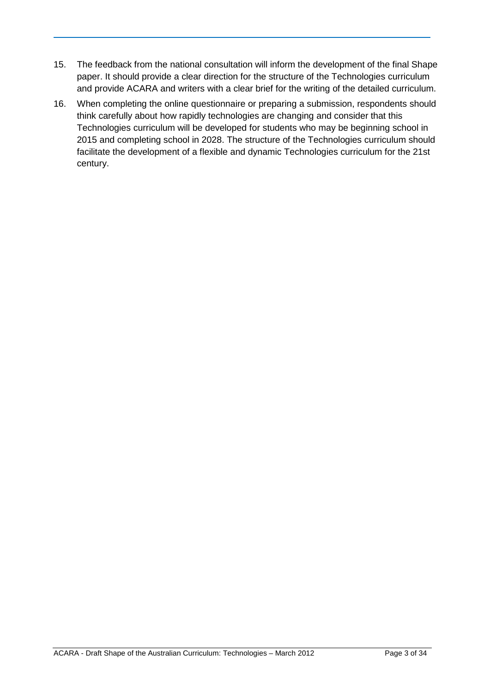- 15. The feedback from the national consultation will inform the development of the final Shape paper. It should provide a clear direction for the structure of the Technologies curriculum and provide ACARA and writers with a clear brief for the writing of the detailed curriculum.
- 16. When completing the online questionnaire or preparing a submission, respondents should think carefully about how rapidly technologies are changing and consider that this Technologies curriculum will be developed for students who may be beginning school in 2015 and completing school in 2028. The structure of the Technologies curriculum should facilitate the development of a flexible and dynamic Technologies curriculum for the 21st century.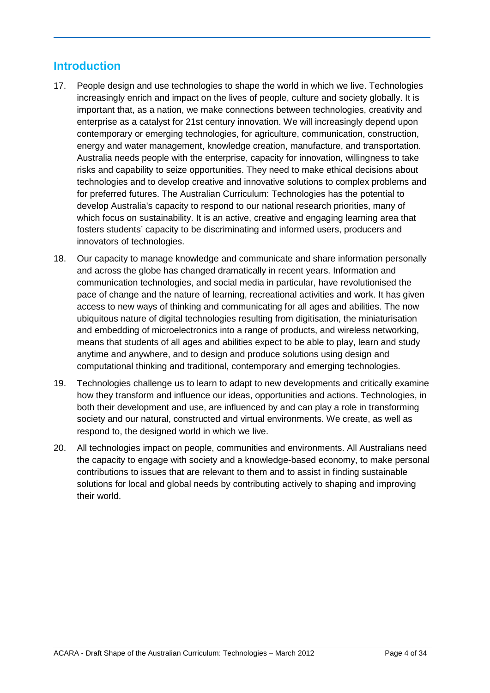# **Introduction**

- 17. People design and use technologies to shape the world in which we live. Technologies increasingly enrich and impact on the lives of people, culture and society globally. It is important that, as a nation, we make connections between technologies, creativity and enterprise as a catalyst for 21st century innovation. We will increasingly depend upon contemporary or emerging technologies, for agriculture, communication, construction, energy and water management, knowledge creation, manufacture, and transportation. Australia needs people with the enterprise, capacity for innovation, willingness to take risks and capability to seize opportunities. They need to make ethical decisions about technologies and to develop creative and innovative solutions to complex problems and for preferred futures. The Australian Curriculum: Technologies has the potential to develop Australia's capacity to respond to our national research priorities, many of which focus on sustainability. It is an active, creative and engaging learning area that fosters students' capacity to be discriminating and informed users, producers and innovators of technologies.
- 18. Our capacity to manage knowledge and communicate and share information personally and across the globe has changed dramatically in recent years. Information and communication technologies, and social media in particular, have revolutionised the pace of change and the nature of learning, recreational activities and work. It has given access to new ways of thinking and communicating for all ages and abilities. The now ubiquitous nature of digital technologies resulting from digitisation, the miniaturisation and embedding of microelectronics into a range of products, and wireless networking, means that students of all ages and abilities expect to be able to play, learn and study anytime and anywhere, and to design and produce solutions using design and computational thinking and traditional, contemporary and emerging technologies.
- 19. Technologies challenge us to learn to adapt to new developments and critically examine how they transform and influence our ideas, opportunities and actions. Technologies, in both their development and use, are influenced by and can play a role in transforming society and our natural, constructed and virtual environments. We create, as well as respond to, the designed world in which we live.
- 20. All technologies impact on people, communities and environments. All Australians need the capacity to engage with society and a knowledge-based economy, to make personal contributions to issues that are relevant to them and to assist in finding sustainable solutions for local and global needs by contributing actively to shaping and improving their world.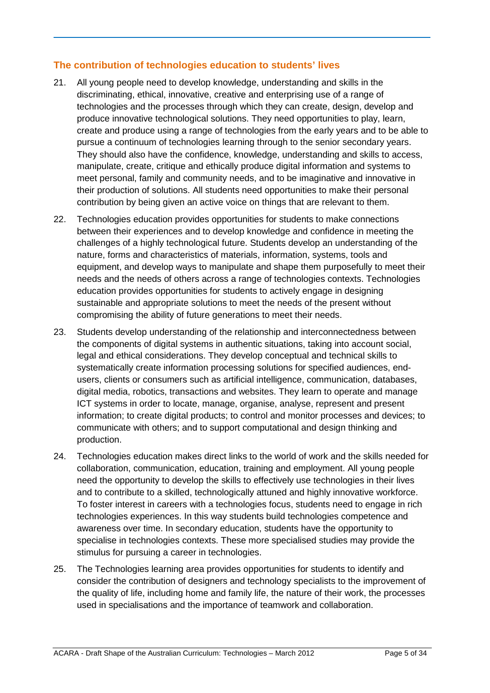### **The contribution of technologies education to students' lives**

- 21. All young people need to develop knowledge, understanding and skills in the discriminating, ethical, innovative, creative and enterprising use of a range of technologies and the processes through which they can create, design, develop and produce innovative technological solutions. They need opportunities to play, learn, create and produce using a range of technologies from the early years and to be able to pursue a continuum of technologies learning through to the senior secondary years. They should also have the confidence, knowledge, understanding and skills to access, manipulate, create, critique and ethically produce digital information and systems to meet personal, family and community needs, and to be imaginative and innovative in their production of solutions. All students need opportunities to make their personal contribution by being given an active voice on things that are relevant to them.
- 22. Technologies education provides opportunities for students to make connections between their experiences and to develop knowledge and confidence in meeting the challenges of a highly technological future. Students develop an understanding of the nature, forms and characteristics of materials, information, systems, tools and equipment, and develop ways to manipulate and shape them purposefully to meet their needs and the needs of others across a range of technologies contexts. Technologies education provides opportunities for students to actively engage in designing sustainable and appropriate solutions to meet the needs of the present without compromising the ability of future generations to meet their needs.
- 23. Students develop understanding of the relationship and interconnectedness between the components of digital systems in authentic situations, taking into account social, legal and ethical considerations. They develop conceptual and technical skills to systematically create information processing solutions for specified audiences, endusers, clients or consumers such as artificial intelligence, communication, databases, digital media, robotics, transactions and websites. They learn to operate and manage ICT systems in order to locate, manage, organise, analyse, represent and present information; to create digital products; to control and monitor processes and devices; to communicate with others; and to support computational and design thinking and production.
- 24. Technologies education makes direct links to the world of work and the skills needed for collaboration, communication, education, training and employment. All young people need the opportunity to develop the skills to effectively use technologies in their lives and to contribute to a skilled, technologically attuned and highly innovative workforce. To foster interest in careers with a technologies focus, students need to engage in rich technologies experiences. In this way students build technologies competence and awareness over time. In secondary education, students have the opportunity to specialise in technologies contexts. These more specialised studies may provide the stimulus for pursuing a career in technologies.
- 25. The Technologies learning area provides opportunities for students to identify and consider the contribution of designers and technology specialists to the improvement of the quality of life, including home and family life, the nature of their work, the processes used in specialisations and the importance of teamwork and collaboration.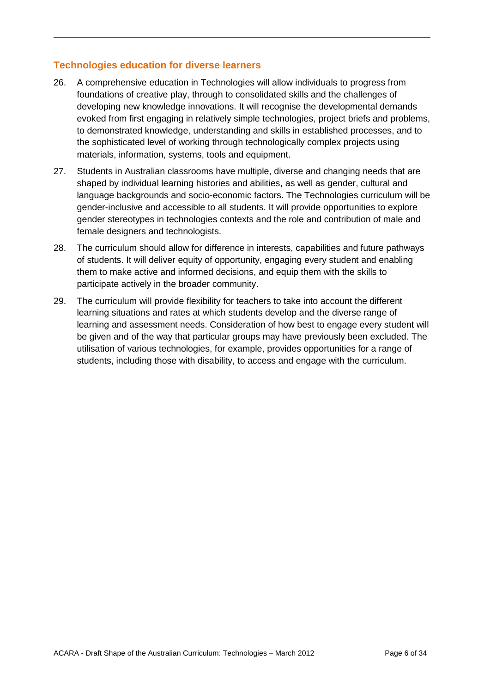### **Technologies education for diverse learners**

- 26. A comprehensive education in Technologies will allow individuals to progress from foundations of creative play, through to consolidated skills and the challenges of developing new knowledge innovations. It will recognise the developmental demands evoked from first engaging in relatively simple technologies, project briefs and problems, to demonstrated knowledge, understanding and skills in established processes, and to the sophisticated level of working through technologically complex projects using materials, information, systems, tools and equipment.
- 27. Students in Australian classrooms have multiple, diverse and changing needs that are shaped by individual learning histories and abilities, as well as gender, cultural and language backgrounds and socio-economic factors. The Technologies curriculum will be gender-inclusive and accessible to all students. It will provide opportunities to explore gender stereotypes in technologies contexts and the role and contribution of male and female designers and technologists.
- 28. The curriculum should allow for difference in interests, capabilities and future pathways of students. It will deliver equity of opportunity, engaging every student and enabling them to make active and informed decisions, and equip them with the skills to participate actively in the broader community.
- 29. The curriculum will provide flexibility for teachers to take into account the different learning situations and rates at which students develop and the diverse range of learning and assessment needs. Consideration of how best to engage every student will be given and of the way that particular groups may have previously been excluded. The utilisation of various technologies, for example, provides opportunities for a range of students, including those with disability, to access and engage with the curriculum.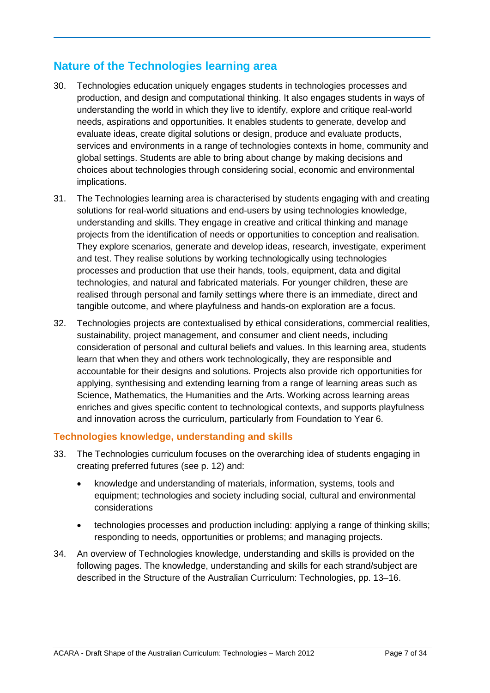# **Nature of the Technologies learning area**

- 30. Technologies education uniquely engages students in technologies processes and production, and design and computational thinking. It also engages students in ways of understanding the world in which they live to identify, explore and critique real-world needs, aspirations and opportunities. It enables students to generate, develop and evaluate ideas, create digital solutions or design, produce and evaluate products, services and environments in a range of technologies contexts in home, community and global settings. Students are able to bring about change by making decisions and choices about technologies through considering social, economic and environmental implications.
- 31. The Technologies learning area is characterised by students engaging with and creating solutions for real-world situations and end-users by using technologies knowledge, understanding and skills. They engage in creative and critical thinking and manage projects from the identification of needs or opportunities to conception and realisation. They explore scenarios, generate and develop ideas, research, investigate, experiment and test. They realise solutions by working technologically using technologies processes and production that use their hands, tools, equipment, data and digital technologies, and natural and fabricated materials. For younger children, these are realised through personal and family settings where there is an immediate, direct and tangible outcome, and where playfulness and hands-on exploration are a focus.
- 32. Technologies projects are contextualised by ethical considerations, commercial realities, sustainability, project management, and consumer and client needs, including consideration of personal and cultural beliefs and values. In this learning area, students learn that when they and others work technologically, they are responsible and accountable for their designs and solutions. Projects also provide rich opportunities for applying, synthesising and extending learning from a range of learning areas such as Science, Mathematics, the Humanities and the Arts. Working across learning areas enriches and gives specific content to technological contexts, and supports playfulness and innovation across the curriculum, particularly from Foundation to Year 6.

### **Technologies knowledge, understanding and skills**

- 33. The Technologies curriculum focuses on the overarching idea of students engaging in creating preferred futures (see p. 12) and:
	- knowledge and understanding of materials, information, systems, tools and equipment; technologies and society including social, cultural and environmental considerations
	- technologies processes and production including: applying a range of thinking skills; responding to needs, opportunities or problems; and managing projects.
- 34. An overview of Technologies knowledge, understanding and skills is provided on the following pages. The knowledge, understanding and skills for each strand/subject are described in the Structure of the Australian Curriculum: Technologies, pp. 13–16.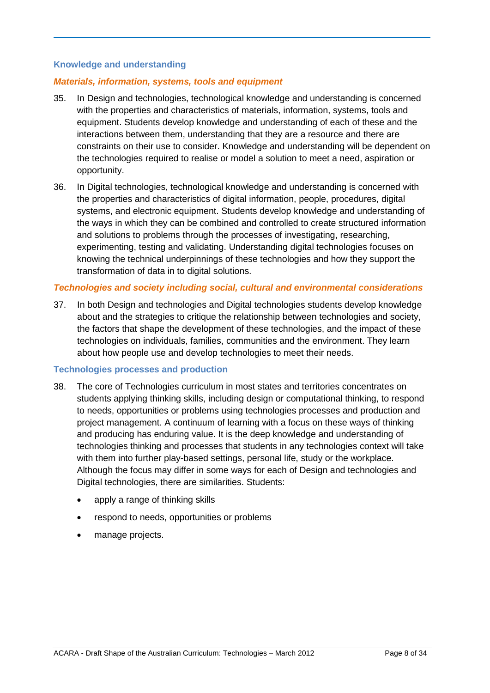### **Knowledge and understanding**

### *Materials, information, systems, tools and equipment*

- 35. In Design and technologies, technological knowledge and understanding is concerned with the properties and characteristics of materials, information, systems, tools and equipment. Students develop knowledge and understanding of each of these and the interactions between them, understanding that they are a resource and there are constraints on their use to consider. Knowledge and understanding will be dependent on the technologies required to realise or model a solution to meet a need, aspiration or opportunity.
- 36. In Digital technologies, technological knowledge and understanding is concerned with the properties and characteristics of digital information, people, procedures, digital systems, and electronic equipment. Students develop knowledge and understanding of the ways in which they can be combined and controlled to create structured information and solutions to problems through the processes of investigating, researching, experimenting, testing and validating. Understanding digital technologies focuses on knowing the technical underpinnings of these technologies and how they support the transformation of data in to digital solutions.

### *Technologies and society including social, cultural and environmental considerations*

37. In both Design and technologies and Digital technologies students develop knowledge about and the strategies to critique the relationship between technologies and society, the factors that shape the development of these technologies, and the impact of these technologies on individuals, families, communities and the environment. They learn about how people use and develop technologies to meet their needs.

### **Technologies processes and production**

- 38. The core of Technologies curriculum in most states and territories concentrates on students applying thinking skills, including design or computational thinking, to respond to needs, opportunities or problems using technologies processes and production and project management. A continuum of learning with a focus on these ways of thinking and producing has enduring value. It is the deep knowledge and understanding of technologies thinking and processes that students in any technologies context will take with them into further play-based settings, personal life, study or the workplace. Although the focus may differ in some ways for each of Design and technologies and Digital technologies, there are similarities. Students:
	- apply a range of thinking skills
	- respond to needs, opportunities or problems
	- manage projects.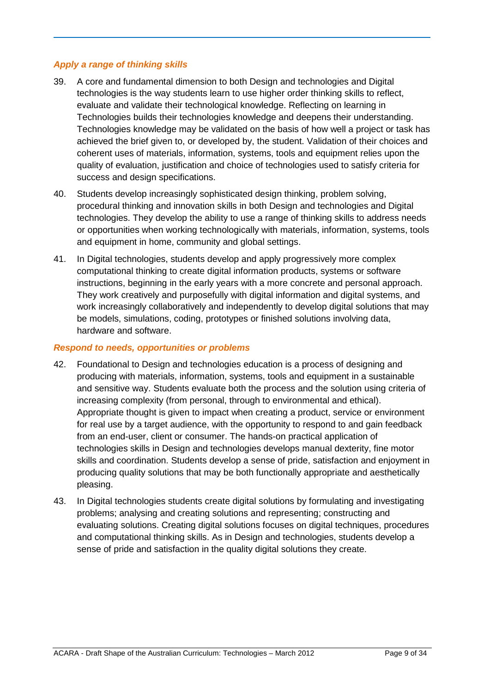### *Apply a range of thinking skills*

- 39. A core and fundamental dimension to both Design and technologies and Digital technologies is the way students learn to use higher order thinking skills to reflect, evaluate and validate their technological knowledge. Reflecting on learning in Technologies builds their technologies knowledge and deepens their understanding. Technologies knowledge may be validated on the basis of how well a project or task has achieved the brief given to, or developed by, the student. Validation of their choices and coherent uses of materials, information, systems, tools and equipment relies upon the quality of evaluation, justification and choice of technologies used to satisfy criteria for success and design specifications.
- 40. Students develop increasingly sophisticated design thinking, problem solving, procedural thinking and innovation skills in both Design and technologies and Digital technologies. They develop the ability to use a range of thinking skills to address needs or opportunities when working technologically with materials, information, systems, tools and equipment in home, community and global settings.
- 41. In Digital technologies, students develop and apply progressively more complex computational thinking to create digital information products, systems or software instructions, beginning in the early years with a more concrete and personal approach. They work creatively and purposefully with digital information and digital systems, and work increasingly collaboratively and independently to develop digital solutions that may be models, simulations, coding, prototypes or finished solutions involving data, hardware and software.

#### *Respond to needs, opportunities or problems*

- 42. Foundational to Design and technologies education is a process of designing and producing with materials, information, systems, tools and equipment in a sustainable and sensitive way. Students evaluate both the process and the solution using criteria of increasing complexity (from personal, through to environmental and ethical). Appropriate thought is given to impact when creating a product, service or environment for real use by a target audience, with the opportunity to respond to and gain feedback from an end-user, client or consumer. The hands-on practical application of technologies skills in Design and technologies develops manual dexterity, fine motor skills and coordination. Students develop a sense of pride, satisfaction and enjoyment in producing quality solutions that may be both functionally appropriate and aesthetically pleasing.
- 43. In Digital technologies students create digital solutions by formulating and investigating problems; analysing and creating solutions and representing; constructing and evaluating solutions. Creating digital solutions focuses on digital techniques, procedures and computational thinking skills. As in Design and technologies, students develop a sense of pride and satisfaction in the quality digital solutions they create.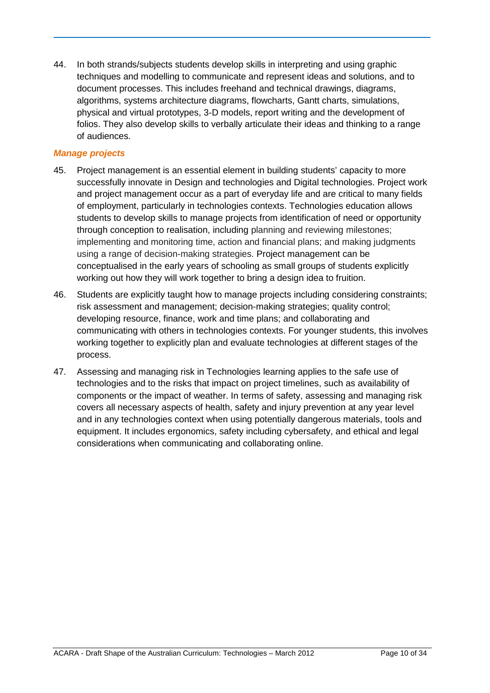44. In both strands/subjects students develop skills in interpreting and using graphic techniques and modelling to communicate and represent ideas and solutions, and to document processes. This includes freehand and technical drawings, diagrams, algorithms, systems architecture diagrams, flowcharts, Gantt charts, simulations, physical and virtual prototypes, 3-D models, report writing and the development of folios. They also develop skills to verbally articulate their ideas and thinking to a range of audiences.

### *Manage projects*

- 45. Project management is an essential element in building students' capacity to more successfully innovate in Design and technologies and Digital technologies. Project work and project management occur as a part of everyday life and are critical to many fields of employment, particularly in technologies contexts. Technologies education allows students to develop skills to manage projects from identification of need or opportunity through conception to realisation, including planning and reviewing milestones; implementing and monitoring time, action and financial plans; and making judgments using a range of decision-making strategies. Project management can be conceptualised in the early years of schooling as small groups of students explicitly working out how they will work together to bring a design idea to fruition.
- 46. Students are explicitly taught how to manage projects including considering constraints; risk assessment and management; decision-making strategies; quality control; developing resource, finance, work and time plans; and collaborating and communicating with others in technologies contexts. For younger students, this involves working together to explicitly plan and evaluate technologies at different stages of the process.
- 47. Assessing and managing risk in Technologies learning applies to the safe use of technologies and to the risks that impact on project timelines, such as availability of components or the impact of weather. In terms of safety, assessing and managing risk covers all necessary aspects of health, safety and injury prevention at any year level and in any technologies context when using potentially dangerous materials, tools and equipment. It includes ergonomics, safety including cybersafety, and ethical and legal considerations when communicating and collaborating online.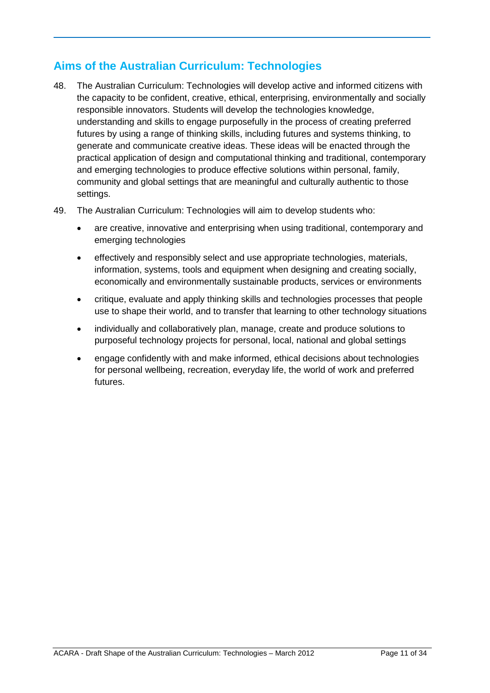# **Aims of the Australian Curriculum: Technologies**

- 48. The Australian Curriculum: Technologies will develop active and informed citizens with the capacity to be confident, creative, ethical, enterprising, environmentally and socially responsible innovators. Students will develop the technologies knowledge, understanding and skills to engage purposefully in the process of creating preferred futures by using a range of thinking skills, including futures and systems thinking, to generate and communicate creative ideas. These ideas will be enacted through the practical application of design and computational thinking and traditional, contemporary and emerging technologies to produce effective solutions within personal, family, community and global settings that are meaningful and culturally authentic to those settings.
- 49. The Australian Curriculum: Technologies will aim to develop students who:
	- are creative, innovative and enterprising when using traditional, contemporary and emerging technologies
	- effectively and responsibly select and use appropriate technologies, materials, information, systems, tools and equipment when designing and creating socially, economically and environmentally sustainable products, services or environments
	- critique, evaluate and apply thinking skills and technologies processes that people use to shape their world, and to transfer that learning to other technology situations
	- individually and collaboratively plan, manage, create and produce solutions to purposeful technology projects for personal, local, national and global settings
	- engage confidently with and make informed, ethical decisions about technologies for personal wellbeing, recreation, everyday life, the world of work and preferred futures.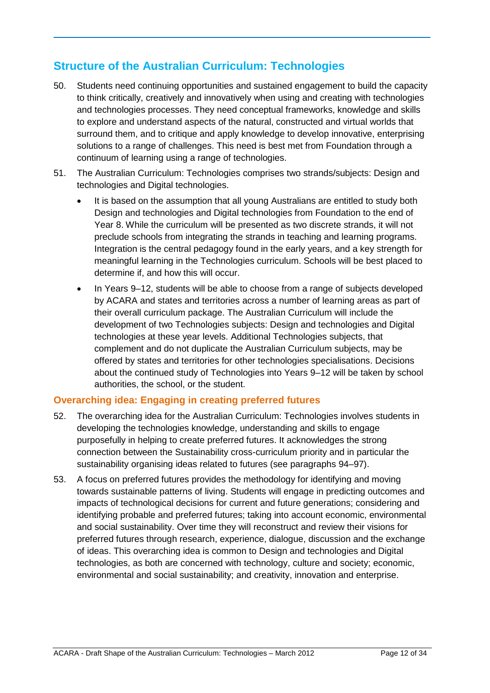# **Structure of the Australian Curriculum: Technologies**

- 50. Students need continuing opportunities and sustained engagement to build the capacity to think critically, creatively and innovatively when using and creating with technologies and technologies processes. They need conceptual frameworks, knowledge and skills to explore and understand aspects of the natural, constructed and virtual worlds that surround them, and to critique and apply knowledge to develop innovative, enterprising solutions to a range of challenges. This need is best met from Foundation through a continuum of learning using a range of technologies.
- 51. The Australian Curriculum: Technologies comprises two strands/subjects: Design and technologies and Digital technologies.
	- It is based on the assumption that all young Australians are entitled to study both Design and technologies and Digital technologies from Foundation to the end of Year 8. While the curriculum will be presented as two discrete strands, it will not preclude schools from integrating the strands in teaching and learning programs. Integration is the central pedagogy found in the early years, and a key strength for meaningful learning in the Technologies curriculum. Schools will be best placed to determine if, and how this will occur.
	- In Years 9–12, students will be able to choose from a range of subjects developed by ACARA and states and territories across a number of learning areas as part of their overall curriculum package. The Australian Curriculum will include the development of two Technologies subjects: Design and technologies and Digital technologies at these year levels. Additional Technologies subjects, that complement and do not duplicate the Australian Curriculum subjects, may be offered by states and territories for other technologies specialisations. Decisions about the continued study of Technologies into Years 9–12 will be taken by school authorities, the school, or the student.

# **Overarching idea: Engaging in creating preferred futures**

- 52. The overarching idea for the Australian Curriculum: Technologies involves students in developing the technologies knowledge, understanding and skills to engage purposefully in helping to create preferred futures. It acknowledges the strong connection between the Sustainability cross-curriculum priority and in particular the sustainability organising ideas related to futures (see paragraphs 94–97).
- 53. A focus on preferred futures provides the methodology for identifying and moving towards sustainable patterns of living. Students will engage in predicting outcomes and impacts of technological decisions for current and future generations; considering and identifying probable and preferred futures; taking into account economic, environmental and social sustainability. Over time they will reconstruct and review their visions for preferred futures through research, experience, dialogue, discussion and the exchange of ideas. This overarching idea is common to Design and technologies and Digital technologies, as both are concerned with technology, culture and society; economic, environmental and social sustainability; and creativity, innovation and enterprise.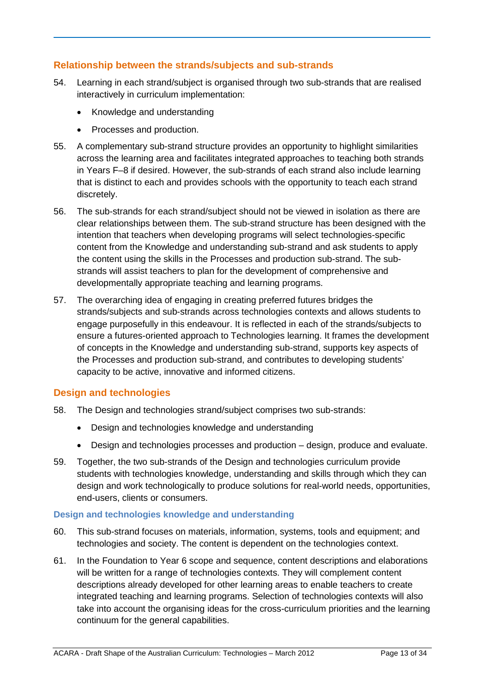# **Relationship between the strands/subjects and sub-strands**

- 54. Learning in each strand/subject is organised through two sub-strands that are realised interactively in curriculum implementation:
	- Knowledge and understanding
	- Processes and production.
- 55. A complementary sub-strand structure provides an opportunity to highlight similarities across the learning area and facilitates integrated approaches to teaching both strands in Years F–8 if desired. However, the sub-strands of each strand also include learning that is distinct to each and provides schools with the opportunity to teach each strand discretely.
- 56. The sub-strands for each strand/subject should not be viewed in isolation as there are clear relationships between them. The sub-strand structure has been designed with the intention that teachers when developing programs will select technologies-specific content from the Knowledge and understanding sub-strand and ask students to apply the content using the skills in the Processes and production sub-strand. The substrands will assist teachers to plan for the development of comprehensive and developmentally appropriate teaching and learning programs.
- 57. The overarching idea of engaging in creating preferred futures bridges the strands/subjects and sub-strands across technologies contexts and allows students to engage purposefully in this endeavour. It is reflected in each of the strands/subjects to ensure a futures-oriented approach to Technologies learning. It frames the development of concepts in the Knowledge and understanding sub*-*strand, supports key aspects of the Processes and production sub-strand, and contributes to developing students' capacity to be active, innovative and informed citizens.

# **Design and technologies**

- 58. The Design and technologies strand/subject comprises two sub-strands:
	- Design and technologies knowledge and understanding
	- Design and technologies processes and production design, produce and evaluate.
- 59. Together, the two sub-strands of the Design and technologies curriculum provide students with technologies knowledge, understanding and skills through which they can design and work technologically to produce solutions for real-world needs, opportunities, end-users, clients or consumers.

### **Design and technologies knowledge and understanding**

- 60. This sub-strand focuses on materials, information, systems, tools and equipment; and technologies and society. The content is dependent on the technologies context.
- 61. In the Foundation to Year 6 scope and sequence, content descriptions and elaborations will be written for a range of technologies contexts. They will complement content descriptions already developed for other learning areas to enable teachers to create integrated teaching and learning programs. Selection of technologies contexts will also take into account the organising ideas for the cross-curriculum priorities and the learning continuum for the general capabilities.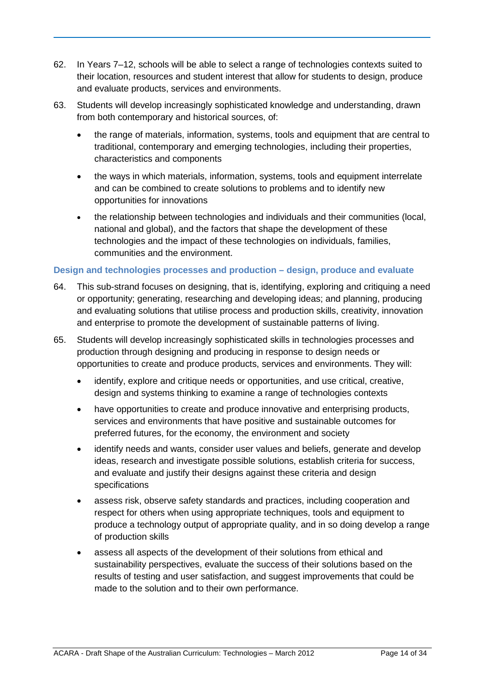- 62. In Years 7–12, schools will be able to select a range of technologies contexts suited to their location, resources and student interest that allow for students to design, produce and evaluate products, services and environments.
- 63. Students will develop increasingly sophisticated knowledge and understanding, drawn from both contemporary and historical sources, of:
	- the range of materials, information, systems, tools and equipment that are central to traditional, contemporary and emerging technologies, including their properties, characteristics and components
	- the ways in which materials, information, systems, tools and equipment interrelate and can be combined to create solutions to problems and to identify new opportunities for innovations
	- the relationship between technologies and individuals and their communities (local, national and global), and the factors that shape the development of these technologies and the impact of these technologies on individuals, families, communities and the environment.

### **Design and technologies processes and production – design, produce and evaluate**

- 64. This sub-strand focuses on designing, that is, identifying, exploring and critiquing a need or opportunity; generating, researching and developing ideas; and planning, producing and evaluating solutions that utilise process and production skills, creativity, innovation and enterprise to promote the development of sustainable patterns of living.
- 65. Students will develop increasingly sophisticated skills in technologies processes and production through designing and producing in response to design needs or opportunities to create and produce products, services and environments. They will:
	- identify, explore and critique needs or opportunities, and use critical, creative, design and systems thinking to examine a range of technologies contexts
	- have opportunities to create and produce innovative and enterprising products, services and environments that have positive and sustainable outcomes for preferred futures, for the economy, the environment and society
	- identify needs and wants, consider user values and beliefs, generate and develop ideas, research and investigate possible solutions, establish criteria for success, and evaluate and justify their designs against these criteria and design specifications
	- assess risk, observe safety standards and practices, including cooperation and respect for others when using appropriate techniques, tools and equipment to produce a technology output of appropriate quality, and in so doing develop a range of production skills
	- assess all aspects of the development of their solutions from ethical and sustainability perspectives, evaluate the success of their solutions based on the results of testing and user satisfaction, and suggest improvements that could be made to the solution and to their own performance.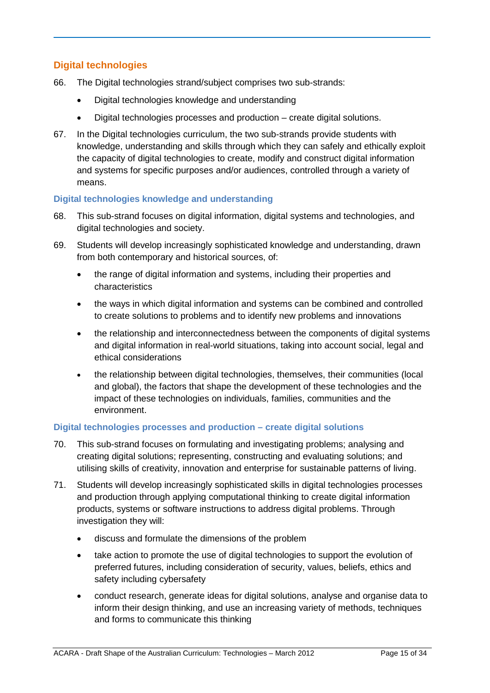# **Digital technologies**

- 66. The Digital technologies strand/subject comprises two sub-strands:
	- Digital technologies knowledge and understanding
	- Digital technologies processes and production create digital solutions.
- 67. In the Digital technologies curriculum, the two sub-strands provide students with knowledge, understanding and skills through which they can safely and ethically exploit the capacity of digital technologies to create, modify and construct digital information and systems for specific purposes and/or audiences, controlled through a variety of means.

### **Digital technologies knowledge and understanding**

- 68. This sub-strand focuses on digital information, digital systems and technologies, and digital technologies and society.
- 69. Students will develop increasingly sophisticated knowledge and understanding, drawn from both contemporary and historical sources, of:
	- the range of digital information and systems, including their properties and characteristics
	- the ways in which digital information and systems can be combined and controlled to create solutions to problems and to identify new problems and innovations
	- the relationship and interconnectedness between the components of digital systems and digital information in real-world situations, taking into account social, legal and ethical considerations
	- the relationship between digital technologies, themselves, their communities (local and global), the factors that shape the development of these technologies and the impact of these technologies on individuals, families, communities and the environment.

# **Digital technologies processes and production – create digital solutions**

- 70. This sub-strand focuses on formulating and investigating problems; analysing and creating digital solutions; representing, constructing and evaluating solutions; and utilising skills of creativity, innovation and enterprise for sustainable patterns of living.
- 71. Students will develop increasingly sophisticated skills in digital technologies processes and production through applying computational thinking to create digital information products, systems or software instructions to address digital problems. Through investigation they will:
	- discuss and formulate the dimensions of the problem
	- take action to promote the use of digital technologies to support the evolution of preferred futures, including consideration of security, values, beliefs, ethics and safety including cybersafety
	- conduct research, generate ideas for digital solutions, analyse and organise data to inform their design thinking, and use an increasing variety of methods, techniques and forms to communicate this thinking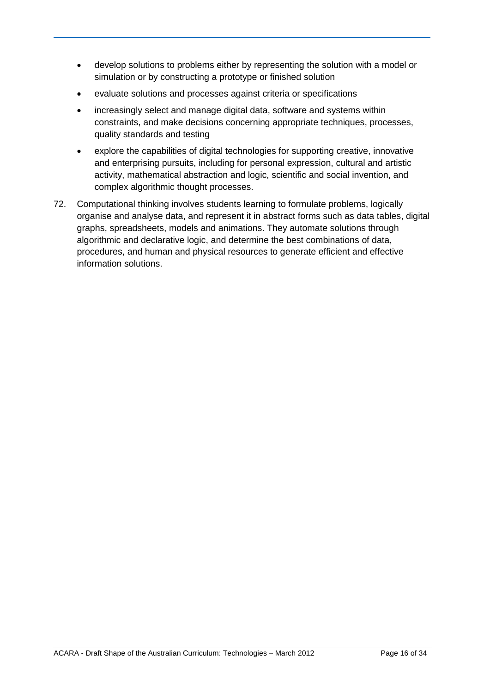- develop solutions to problems either by representing the solution with a model or simulation or by constructing a prototype or finished solution
- evaluate solutions and processes against criteria or specifications
- increasingly select and manage digital data, software and systems within constraints, and make decisions concerning appropriate techniques, processes, quality standards and testing
- explore the capabilities of digital technologies for supporting creative, innovative and enterprising pursuits, including for personal expression, cultural and artistic activity, mathematical abstraction and logic, scientific and social invention, and complex algorithmic thought processes.
- 72. Computational thinking involves students learning to formulate problems, logically organise and analyse data, and represent it in abstract forms such as data tables, digital graphs, spreadsheets, models and animations. They automate solutions through algorithmic and declarative logic, and determine the best combinations of data, procedures, and human and physical resources to generate efficient and effective information solutions.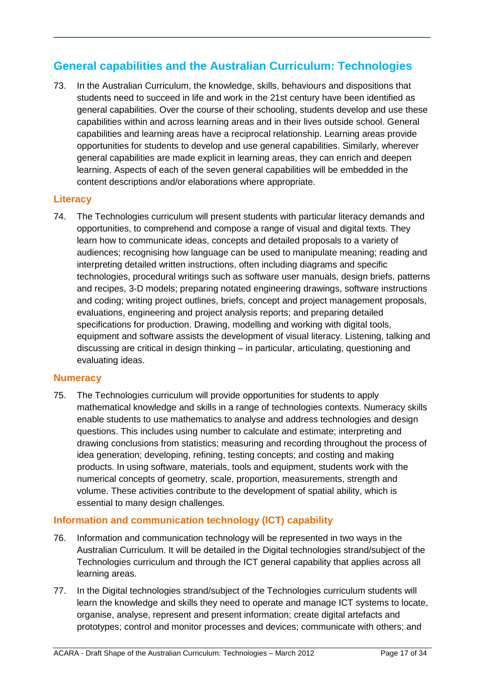# **General capabilities and the Australian Curriculum: Technologies**

73. In the Australian Curriculum, the knowledge, skills, behaviours and dispositions that students need to succeed in life and work in the 21st century have been identified as general capabilities. Over the course of their schooling, students develop and use these capabilities within and across learning areas and in their lives outside school. General capabilities and learning areas have a reciprocal relationship. Learning areas provide opportunities for students to develop and use general capabilities. Similarly, wherever general capabilities are made explicit in learning areas, they can enrich and deepen learning. Aspects of each of the seven general capabilities will be embedded in the content descriptions and/or elaborations where appropriate.

### **Literacy**

74. The Technologies curriculum will present students with particular literacy demands and opportunities, to comprehend and compose a range of visual and digital texts. They learn how to communicate ideas, concepts and detailed proposals to a variety of audiences; recognising how language can be used to manipulate meaning; reading and interpreting detailed written instructions, often including diagrams and specific technologies, procedural writings such as software user manuals, design briefs, patterns and recipes, 3-D models; preparing notated engineering drawings, software instructions and coding; writing project outlines, briefs, concept and project management proposals, evaluations, engineering and project analysis reports; and preparing detailed specifications for production. Drawing, modelling and working with digital tools, equipment and software assists the development of visual literacy. Listening, talking and discussing are critical in design thinking – in particular, articulating, questioning and evaluating ideas.

# **Numeracy**

75. The Technologies curriculum will provide opportunities for students to apply mathematical knowledge and skills in a range of technologies contexts. Numeracy skills enable students to use mathematics to analyse and address technologies and design questions. This includes using number to calculate and estimate; interpreting and drawing conclusions from statistics; measuring and recording throughout the process of idea generation; developing, refining, testing concepts; and costing and making products. In using software, materials, tools and equipment, students work with the numerical concepts of geometry, scale, proportion, measurements, strength and volume. These activities contribute to the development of spatial ability, which is essential to many design challenges.

# **Information and communication technology (ICT) capability**

- 76. Information and communication technology will be represented in two ways in the Australian Curriculum. It will be detailed in the Digital technologies strand/subject of the Technologies curriculum and through the ICT general capability that applies across all learning areas.
- 77. In the Digital technologies strand/subject of the Technologies curriculum students will learn the knowledge and skills they need to operate and manage ICT systems to locate, organise, analyse, represent and present information; create digital artefacts and prototypes; control and monitor processes and devices; communicate with others; and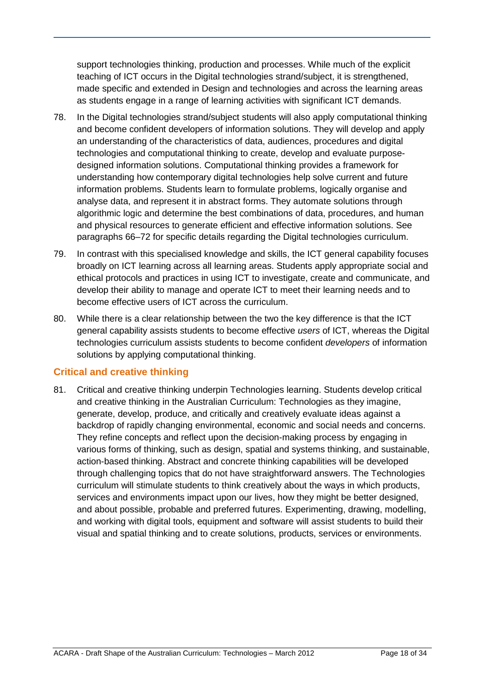support technologies thinking, production and processes. While much of the explicit teaching of ICT occurs in the Digital technologies strand/subject, it is strengthened, made specific and extended in Design and technologies and across the learning areas as students engage in a range of learning activities with significant ICT demands.

- 78. In the Digital technologies strand/subject students will also apply computational thinking and become confident developers of information solutions. They will develop and apply an understanding of the characteristics of data, audiences, procedures and digital technologies and computational thinking to create, develop and evaluate purposedesigned information solutions. Computational thinking provides a framework for understanding how contemporary digital technologies help solve current and future information problems. Students learn to formulate problems, logically organise and analyse data, and represent it in abstract forms. They automate solutions through algorithmic logic and determine the best combinations of data, procedures, and human and physical resources to generate efficient and effective information solutions. See paragraphs 66–72 for specific details regarding the Digital technologies curriculum.
- 79. In contrast with this specialised knowledge and skills, the ICT general capability focuses broadly on ICT learning across all learning areas. Students apply appropriate social and ethical protocols and practices in using ICT to investigate, create and communicate, and develop their ability to manage and operate ICT to meet their learning needs and to become effective users of ICT across the curriculum.
- 80. While there is a clear relationship between the two the key difference is that the ICT general capability assists students to become effective *users* of ICT, whereas the Digital technologies curriculum assists students to become confident *developers* of information solutions by applying computational thinking.

### **Critical and creative thinking**

81. Critical and creative thinking underpin Technologies learning. Students develop critical and creative thinking in the Australian Curriculum: Technologies as they imagine, generate, develop, produce, and critically and creatively evaluate ideas against a backdrop of rapidly changing environmental, economic and social needs and concerns. They refine concepts and reflect upon the decision-making process by engaging in various forms of thinking, such as design, spatial and systems thinking, and sustainable, action-based thinking. Abstract and concrete thinking capabilities will be developed through challenging topics that do not have straightforward answers. The Technologies curriculum will stimulate students to think creatively about the ways in which products, services and environments impact upon our lives, how they might be better designed, and about possible, probable and preferred futures. Experimenting, drawing, modelling, and working with digital tools, equipment and software will assist students to build their visual and spatial thinking and to create solutions, products, services or environments.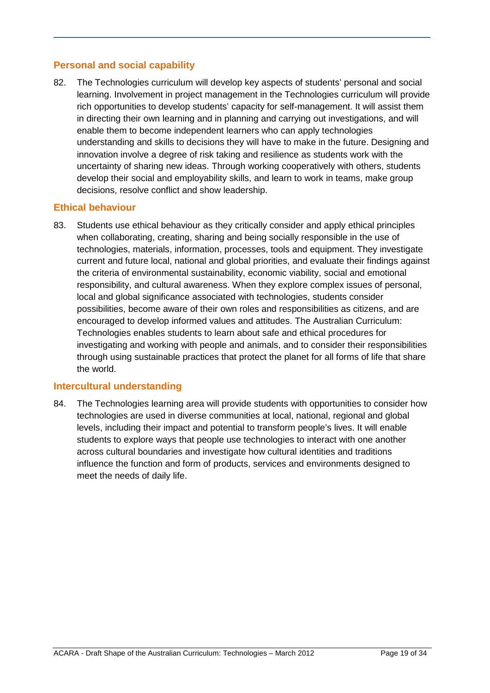# **Personal and social capability**

82. The Technologies curriculum will develop key aspects of students' personal and social learning. Involvement in project management in the Technologies curriculum will provide rich opportunities to develop students' capacity for self-management. It will assist them in directing their own learning and in planning and carrying out investigations, and will enable them to become independent learners who can apply technologies understanding and skills to decisions they will have to make in the future. Designing and innovation involve a degree of risk taking and resilience as students work with the uncertainty of sharing new ideas. Through working cooperatively with others, students develop their social and employability skills, and learn to work in teams, make group decisions, resolve conflict and show leadership.

### **Ethical behaviour**

83. Students use ethical behaviour as they critically consider and apply ethical principles when collaborating, creating, sharing and being socially responsible in the use of technologies, materials, information, processes, tools and equipment. They investigate current and future local, national and global priorities, and evaluate their findings against the criteria of environmental sustainability, economic viability, social and emotional responsibility, and cultural awareness. When they explore complex issues of personal, local and global significance associated with technologies, students consider possibilities, become aware of their own roles and responsibilities as citizens, and are encouraged to develop informed values and attitudes. The Australian Curriculum: Technologies enables students to learn about safe and ethical procedures for investigating and working with people and animals, and to consider their responsibilities through using sustainable practices that protect the planet for all forms of life that share the world.

### **Intercultural understanding**

84. The Technologies learning area will provide students with opportunities to consider how technologies are used in diverse communities at local, national, regional and global levels, including their impact and potential to transform people's lives. It will enable students to explore ways that people use technologies to interact with one another across cultural boundaries and investigate how cultural identities and traditions influence the function and form of products, services and environments designed to meet the needs of daily life.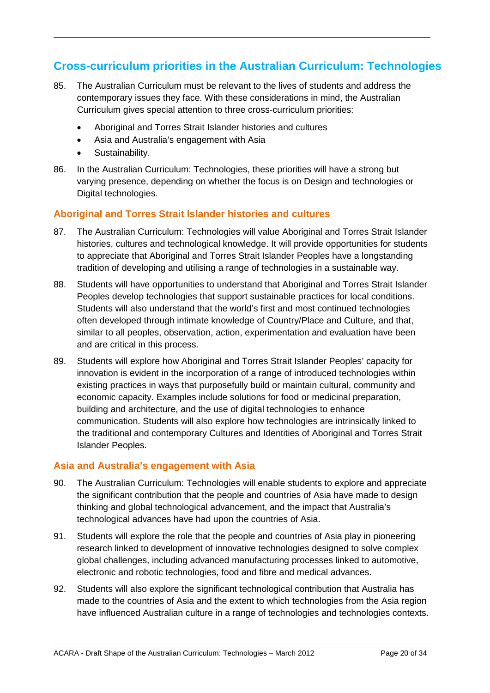# **Cross-curriculum priorities in the Australian Curriculum: Technologies**

- 85. The Australian Curriculum must be relevant to the lives of students and address the contemporary issues they face. With these considerations in mind, the Australian Curriculum gives special attention to three cross-curriculum priorities:
	- Aboriginal and Torres Strait Islander histories and cultures
	- Asia and Australia's engagement with Asia
	- Sustainability.
- 86. In the Australian Curriculum: Technologies, these priorities will have a strong but varying presence, depending on whether the focus is on Design and technologies or Digital technologies.

### **Aboriginal and Torres Strait Islander histories and cultures**

- 87. The Australian Curriculum: Technologies will value Aboriginal and Torres Strait Islander histories, cultures and technological knowledge. It will provide opportunities for students to appreciate that Aboriginal and Torres Strait Islander Peoples have a longstanding tradition of developing and utilising a range of technologies in a sustainable way.
- 88. Students will have opportunities to understand that Aboriginal and Torres Strait Islander Peoples develop technologies that support sustainable practices for local conditions. Students will also understand that the world's first and most continued technologies often developed through intimate knowledge of Country/Place and Culture, and that, similar to all peoples, observation, action, experimentation and evaluation have been and are critical in this process.
- 89. Students will explore how Aboriginal and Torres Strait Islander Peoples' capacity for innovation is evident in the incorporation of a range of introduced technologies within existing practices in ways that purposefully build or maintain cultural, community and economic capacity. Examples include solutions for food or medicinal preparation, building and architecture, and the use of digital technologies to enhance communication. Students will also explore how technologies are intrinsically linked to the traditional and contemporary Cultures and Identities of Aboriginal and Torres Strait Islander Peoples.

### **Asia and Australia's engagement with Asia**

- 90. The Australian Curriculum: Technologies will enable students to explore and appreciate the significant contribution that the people and countries of Asia have made to design thinking and global technological advancement, and the impact that Australia's technological advances have had upon the countries of Asia.
- 91. Students will explore the role that the people and countries of Asia play in pioneering research linked to development of innovative technologies designed to solve complex global challenges, including advanced manufacturing processes linked to automotive, electronic and robotic technologies, food and fibre and medical advances.
- 92. Students will also explore the significant technological contribution that Australia has made to the countries of Asia and the extent to which technologies from the Asia region have influenced Australian culture in a range of technologies and technologies contexts.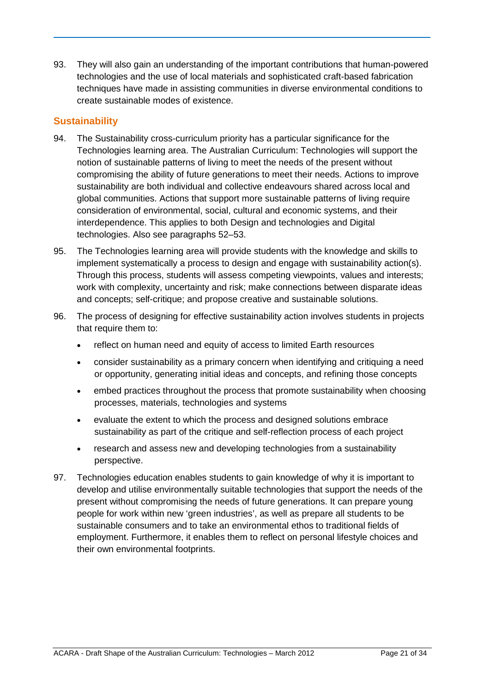93. They will also gain an understanding of the important contributions that human-powered technologies and the use of local materials and sophisticated craft-based fabrication techniques have made in assisting communities in diverse environmental conditions to create sustainable modes of existence.

### **Sustainability**

- 94. The Sustainability cross-curriculum priority has a particular significance for the Technologies learning area. The Australian Curriculum: Technologies will support the notion of sustainable patterns of living to meet the needs of the present without compromising the ability of future generations to meet their needs. Actions to improve sustainability are both individual and collective endeavours shared across local and global communities. Actions that support more sustainable patterns of living require consideration of environmental, social, cultural and economic systems, and their interdependence. This applies to both Design and technologies and Digital technologies. Also see paragraphs 52–53.
- 95. The Technologies learning area will provide students with the knowledge and skills to implement systematically a process to design and engage with sustainability action(s). Through this process, students will assess competing viewpoints, values and interests; work with complexity, uncertainty and risk; make connections between disparate ideas and concepts; self-critique; and propose creative and sustainable solutions.
- 96. The process of designing for effective sustainability action involves students in projects that require them to:
	- reflect on human need and equity of access to limited Earth resources
	- consider sustainability as a primary concern when identifying and critiquing a need or opportunity, generating initial ideas and concepts, and refining those concepts
	- embed practices throughout the process that promote sustainability when choosing processes, materials, technologies and systems
	- evaluate the extent to which the process and designed solutions embrace sustainability as part of the critique and self-reflection process of each project
	- research and assess new and developing technologies from a sustainability perspective.
- 97. Technologies education enables students to gain knowledge of why it is important to develop and utilise environmentally suitable technologies that support the needs of the present without compromising the needs of future generations. It can prepare young people for work within new 'green industries', as well as prepare all students to be sustainable consumers and to take an environmental ethos to traditional fields of employment. Furthermore, it enables them to reflect on personal lifestyle choices and their own environmental footprints.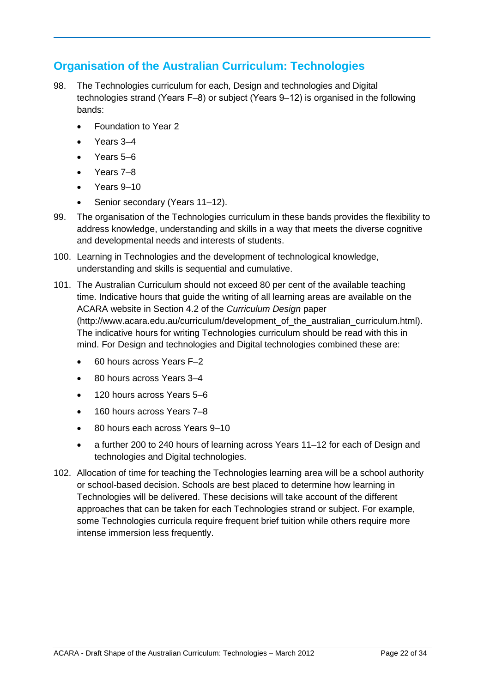# **Organisation of the Australian Curriculum: Technologies**

- 98. The Technologies curriculum for each, Design and technologies and Digital technologies strand (Years F‒8) or subject (Years 9‒12) is organised in the following bands:
	- Foundation to Year 2
	- Years 3–4
	- Years 5–6
	- Years 7–8
	- Years 9–10
	- Senior secondary (Years 11-12).
- 99. The organisation of the Technologies curriculum in these bands provides the flexibility to address knowledge, understanding and skills in a way that meets the diverse cognitive and developmental needs and interests of students.
- 100. Learning in Technologies and the development of technological knowledge, understanding and skills is sequential and cumulative.
- 101. The Australian Curriculum should not exceed 80 per cent of the available teaching time. Indicative hours that guide the writing of all learning areas are available on the ACARA website in Section 4.2 of the *Curriculum Design* paper (http://www.acara.edu.au/curriculum/development\_of\_the\_australian\_curriculum.html). The indicative hours for writing Technologies curriculum should be read with this in mind. For Design and technologies and Digital technologies combined these are:
	- 60 hours across Years F–2
	- 80 hours across Years 3–4
	- 120 hours across Years 5–6
	- 160 hours across Years 7–8
	- 80 hours each across Years 9–10
	- a further 200 to 240 hours of learning across Years 11–12 for each of Design and technologies and Digital technologies.
- 102. Allocation of time for teaching the Technologies learning area will be a school authority or school-based decision. Schools are best placed to determine how learning in Technologies will be delivered. These decisions will take account of the different approaches that can be taken for each Technologies strand or subject. For example, some Technologies curricula require frequent brief tuition while others require more intense immersion less frequently.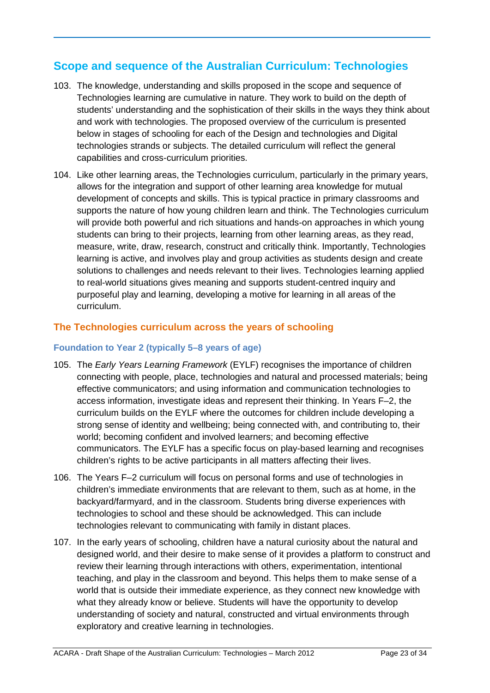# **Scope and sequence of the Australian Curriculum: Technologies**

- 103. The knowledge, understanding and skills proposed in the scope and sequence of Technologies learning are cumulative in nature. They work to build on the depth of students' understanding and the sophistication of their skills in the ways they think about and work with technologies. The proposed overview of the curriculum is presented below in stages of schooling for each of the Design and technologies and Digital technologies strands or subjects. The detailed curriculum will reflect the general capabilities and cross-curriculum priorities.
- 104. Like other learning areas, the Technologies curriculum, particularly in the primary years, allows for the integration and support of other learning area knowledge for mutual development of concepts and skills. This is typical practice in primary classrooms and supports the nature of how young children learn and think. The Technologies curriculum will provide both powerful and rich situations and hands-on approaches in which young students can bring to their projects, learning from other learning areas, as they read, measure, write, draw, research, construct and critically think. Importantly, Technologies learning is active, and involves play and group activities as students design and create solutions to challenges and needs relevant to their lives. Technologies learning applied to real-world situations gives meaning and supports student-centred inquiry and purposeful play and learning, developing a motive for learning in all areas of the curriculum.

# **The Technologies curriculum across the years of schooling**

### **Foundation to Year 2 (typically 5–8 years of age)**

- 105. The *Early Years Learning Framework* (EYLF) recognises the importance of children connecting with people, place, technologies and natural and processed materials; being effective communicators; and using information and communication technologies to access information, investigate ideas and represent their thinking. In Years F*–*2, the curriculum builds on the EYLF where the outcomes for children include developing a strong sense of identity and wellbeing; being connected with, and contributing to, their world; becoming confident and involved learners; and becoming effective communicators. The EYLF has a specific focus on play-based learning and recognises children's rights to be active participants in all matters affecting their lives.
- 106. The Years F*–*2 curriculum will focus on personal forms and use of technologies in children's immediate environments that are relevant to them, such as at home, in the backyard/farmyard, and in the classroom. Students bring diverse experiences with technologies to school and these should be acknowledged. This can include technologies relevant to communicating with family in distant places.
- 107. In the early years of schooling, children have a natural curiosity about the natural and designed world, and their desire to make sense of it provides a platform to construct and review their learning through interactions with others, experimentation, intentional teaching, and play in the classroom and beyond. This helps them to make sense of a world that is outside their immediate experience, as they connect new knowledge with what they already know or believe. Students will have the opportunity to develop understanding of society and natural, constructed and virtual environments through exploratory and creative learning in technologies.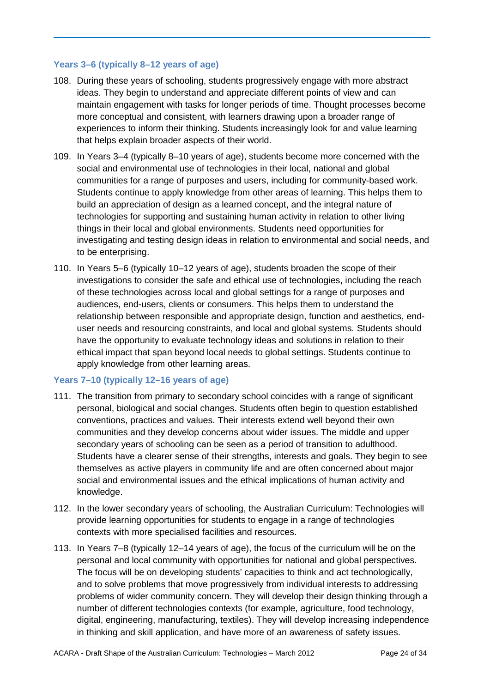### **Years 3–6 (typically 8–12 years of age)**

- 108. During these years of schooling, students progressively engage with more abstract ideas. They begin to understand and appreciate different points of view and can maintain engagement with tasks for longer periods of time. Thought processes become more conceptual and consistent, with learners drawing upon a broader range of experiences to inform their thinking. Students increasingly look for and value learning that helps explain broader aspects of their world.
- 109. In Years 3–4 (typically 8–10 years of age), students become more concerned with the social and environmental use of technologies in their local, national and global communities for a range of purposes and users, including for community-based work. Students continue to apply knowledge from other areas of learning. This helps them to build an appreciation of design as a learned concept, and the integral nature of technologies for supporting and sustaining human activity in relation to other living things in their local and global environments. Students need opportunities for investigating and testing design ideas in relation to environmental and social needs, and to be enterprising.
- 110. In Years 5–6 (typically 10–12 years of age), students broaden the scope of their investigations to consider the safe and ethical use of technologies, including the reach of these technologies across local and global settings for a range of purposes and audiences, end-users, clients or consumers. This helps them to understand the relationship between responsible and appropriate design, function and aesthetics, enduser needs and resourcing constraints, and local and global systems. Students should have the opportunity to evaluate technology ideas and solutions in relation to their ethical impact that span beyond local needs to global settings. Students continue to apply knowledge from other learning areas.

### **Years 7–10 (typically 12–16 years of age)**

- 111. The transition from primary to secondary school coincides with a range of significant personal, biological and social changes. Students often begin to question established conventions, practices and values. Their interests extend well beyond their own communities and they develop concerns about wider issues. The middle and upper secondary years of schooling can be seen as a period of transition to adulthood. Students have a clearer sense of their strengths, interests and goals. They begin to see themselves as active players in community life and are often concerned about major social and environmental issues and the ethical implications of human activity and knowledge.
- 112. In the lower secondary years of schooling, the Australian Curriculum: Technologies will provide learning opportunities for students to engage in a range of technologies contexts with more specialised facilities and resources.
- 113. In Years 7*–*8 (typically 12–14 years of age), the focus of the curriculum will be on the personal and local community with opportunities for national and global perspectives. The focus will be on developing students' capacities to think and act technologically, and to solve problems that move progressively from individual interests to addressing problems of wider community concern. They will develop their design thinking through a number of different technologies contexts (for example, agriculture, food technology, digital, engineering, manufacturing, textiles). They will develop increasing independence in thinking and skill application, and have more of an awareness of safety issues.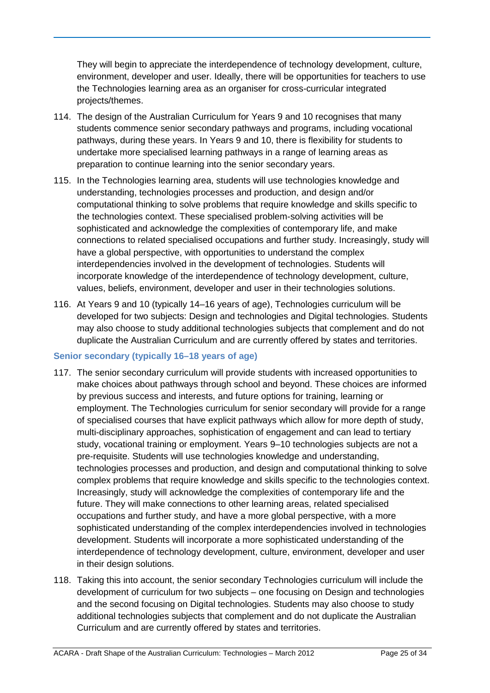They will begin to appreciate the interdependence of technology development, culture, environment, developer and user. Ideally, there will be opportunities for teachers to use the Technologies learning area as an organiser for cross-curricular integrated projects/themes.

- 114. The design of the Australian Curriculum for Years 9 and 10 recognises that many students commence senior secondary pathways and programs, including vocational pathways, during these years. In Years 9 and 10, there is flexibility for students to undertake more specialised learning pathways in a range of learning areas as preparation to continue learning into the senior secondary years.
- 115. In the Technologies learning area, students will use technologies knowledge and understanding, technologies processes and production, and design and/or computational thinking to solve problems that require knowledge and skills specific to the technologies context. These specialised problem-solving activities will be sophisticated and acknowledge the complexities of contemporary life, and make connections to related specialised occupations and further study. Increasingly, study will have a global perspective, with opportunities to understand the complex interdependencies involved in the development of technologies. Students will incorporate knowledge of the interdependence of technology development, culture, values, beliefs, environment, developer and user in their technologies solutions.
- 116. At Years 9 and 10 (typically 14–16 years of age), Technologies curriculum will be developed for two subjects: Design and technologies and Digital technologies. Students may also choose to study additional technologies subjects that complement and do not duplicate the Australian Curriculum and are currently offered by states and territories.

### **Senior secondary (typically 16–18 years of age)**

- 117. The senior secondary curriculum will provide students with increased opportunities to make choices about pathways through school and beyond. These choices are informed by previous success and interests, and future options for training, learning or employment. The Technologies curriculum for senior secondary will provide for a range of specialised courses that have explicit pathways which allow for more depth of study, multi-disciplinary approaches, sophistication of engagement and can lead to tertiary study, vocational training or employment. Years 9–10 technologies subjects are not a pre-requisite. Students will use technologies knowledge and understanding, technologies processes and production, and design and computational thinking to solve complex problems that require knowledge and skills specific to the technologies context. Increasingly, study will acknowledge the complexities of contemporary life and the future. They will make connections to other learning areas, related specialised occupations and further study, and have a more global perspective, with a more sophisticated understanding of the complex interdependencies involved in technologies development. Students will incorporate a more sophisticated understanding of the interdependence of technology development, culture, environment, developer and user in their design solutions.
- 118. Taking this into account, the senior secondary Technologies curriculum will include the development of curriculum for two subjects – one focusing on Design and technologies and the second focusing on Digital technologies. Students may also choose to study additional technologies subjects that complement and do not duplicate the Australian Curriculum and are currently offered by states and territories.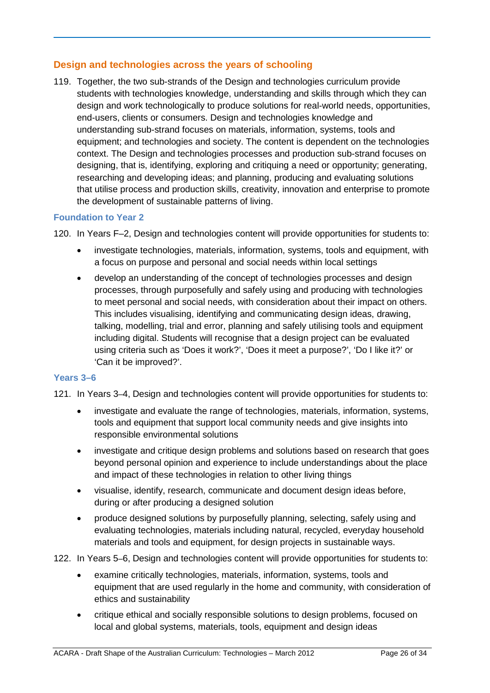# **Design and technologies across the years of schooling**

119. Together, the two sub-strands of the Design and technologies curriculum provide students with technologies knowledge, understanding and skills through which they can design and work technologically to produce solutions for real-world needs, opportunities, end-users, clients or consumers. Design and technologies knowledge and understanding sub-strand focuses on materials, information, systems, tools and equipment; and technologies and society. The content is dependent on the technologies context. The Design and technologies processes and production sub-strand focuses on designing, that is, identifying, exploring and critiquing a need or opportunity; generating, researching and developing ideas; and planning, producing and evaluating solutions that utilise process and production skills, creativity, innovation and enterprise to promote the development of sustainable patterns of living.

### **Foundation to Year 2**

120. In Years F*–*2, Design and technologies content will provide opportunities for students to:

- investigate technologies, materials, information, systems, tools and equipment, with a focus on purpose and personal and social needs within local settings
- develop an understanding of the concept of technologies processes and design processes, through purposefully and safely using and producing with technologies to meet personal and social needs, with consideration about their impact on others. This includes visualising, identifying and communicating design ideas, drawing, talking, modelling, trial and error, planning and safely utilising tools and equipment including digital. Students will recognise that a design project can be evaluated using criteria such as 'Does it work?', 'Does it meet a purpose?', 'Do I like it?' or 'Can it be improved?'.

### **Years 3–6**

121. In Years 3–4, Design and technologies content will provide opportunities for students to:

- investigate and evaluate the range of technologies, materials, information, systems, tools and equipment that support local community needs and give insights into responsible environmental solutions
- investigate and critique design problems and solutions based on research that goes beyond personal opinion and experience to include understandings about the place and impact of these technologies in relation to other living things
- visualise, identify, research, communicate and document design ideas before, during or after producing a designed solution
- produce designed solutions by purposefully planning, selecting, safely using and evaluating technologies, materials including natural, recycled, everyday household materials and tools and equipment, for design projects in sustainable ways.

122. In Years 5–6, Design and technologies content will provide opportunities for students to:

- examine critically technologies, materials, information, systems, tools and equipment that are used regularly in the home and community, with consideration of ethics and sustainability
- critique ethical and socially responsible solutions to design problems, focused on local and global systems, materials, tools, equipment and design ideas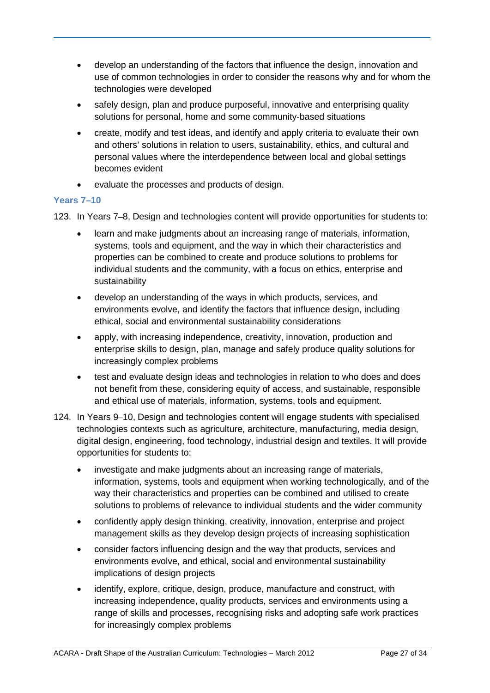- develop an understanding of the factors that influence the design, innovation and use of common technologies in order to consider the reasons why and for whom the technologies were developed
- safely design, plan and produce purposeful, innovative and enterprising quality solutions for personal, home and some community-based situations
- create, modify and test ideas, and identify and apply criteria to evaluate their own and others' solutions in relation to users, sustainability, ethics, and cultural and personal values where the interdependence between local and global settings becomes evident
- evaluate the processes and products of design.

### **Years 7–10**

123. In Years 7–8, Design and technologies content will provide opportunities for students to:

- learn and make judgments about an increasing range of materials, information, systems, tools and equipment, and the way in which their characteristics and properties can be combined to create and produce solutions to problems for individual students and the community, with a focus on ethics, enterprise and sustainability
- develop an understanding of the ways in which products, services, and environments evolve, and identify the factors that influence design, including ethical, social and environmental sustainability considerations
- apply, with increasing independence, creativity, innovation, production and enterprise skills to design, plan, manage and safely produce quality solutions for increasingly complex problems
- test and evaluate design ideas and technologies in relation to who does and does not benefit from these, considering equity of access, and sustainable, responsible and ethical use of materials, information, systems, tools and equipment.
- 124. In Years 9–10, Design and technologies content will engage students with specialised technologies contexts such as agriculture, architecture, manufacturing, media design, digital design, engineering, food technology, industrial design and textiles. It will provide opportunities for students to:
	- investigate and make judgments about an increasing range of materials, information, systems, tools and equipment when working technologically, and of the way their characteristics and properties can be combined and utilised to create solutions to problems of relevance to individual students and the wider community
	- confidently apply design thinking, creativity, innovation, enterprise and project management skills as they develop design projects of increasing sophistication
	- consider factors influencing design and the way that products, services and environments evolve, and ethical, social and environmental sustainability implications of design projects
	- identify, explore, critique, design, produce, manufacture and construct, with increasing independence, quality products, services and environments using a range of skills and processes, recognising risks and adopting safe work practices for increasingly complex problems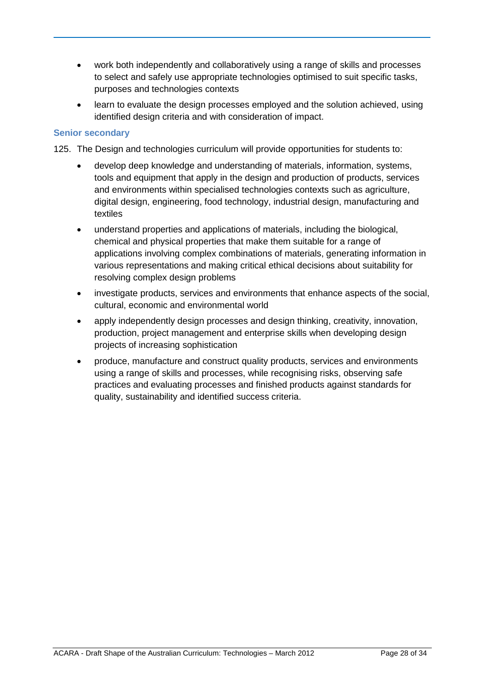- work both independently and collaboratively using a range of skills and processes to select and safely use appropriate technologies optimised to suit specific tasks, purposes and technologies contexts
- learn to evaluate the design processes employed and the solution achieved, using identified design criteria and with consideration of impact.

### **Senior secondary**

125. The Design and technologies curriculum will provide opportunities for students to:

- develop deep knowledge and understanding of materials, information, systems, tools and equipment that apply in the design and production of products, services and environments within specialised technologies contexts such as agriculture, digital design, engineering, food technology, industrial design, manufacturing and textiles
- understand properties and applications of materials, including the biological, chemical and physical properties that make them suitable for a range of applications involving complex combinations of materials, generating information in various representations and making critical ethical decisions about suitability for resolving complex design problems
- investigate products, services and environments that enhance aspects of the social, cultural, economic and environmental world
- apply independently design processes and design thinking, creativity, innovation, production, project management and enterprise skills when developing design projects of increasing sophistication
- produce, manufacture and construct quality products, services and environments using a range of skills and processes, while recognising risks, observing safe practices and evaluating processes and finished products against standards for quality, sustainability and identified success criteria.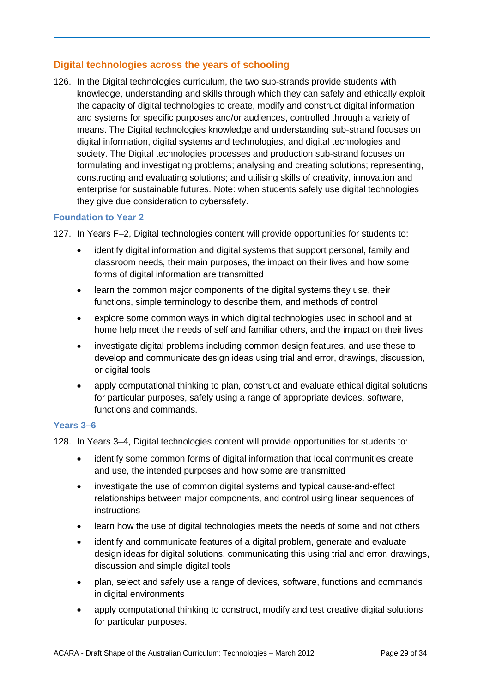# **Digital technologies across the years of schooling**

126. In the Digital technologies curriculum, the two sub-strands provide students with knowledge, understanding and skills through which they can safely and ethically exploit the capacity of digital technologies to create, modify and construct digital information and systems for specific purposes and/or audiences, controlled through a variety of means. The Digital technologies knowledge and understanding sub-strand focuses on digital information, digital systems and technologies, and digital technologies and society. The Digital technologies processes and production sub-strand focuses on formulating and investigating problems; analysing and creating solutions; representing, constructing and evaluating solutions; and utilising skills of creativity, innovation and enterprise for sustainable futures. Note: when students safely use digital technologies they give due consideration to cybersafety.

### **Foundation to Year 2**

127. In Years F*–*2, Digital technologies content will provide opportunities for students to:

- identify digital information and digital systems that support personal, family and classroom needs, their main purposes, the impact on their lives and how some forms of digital information are transmitted
- learn the common major components of the digital systems they use, their functions, simple terminology to describe them, and methods of control
- explore some common ways in which digital technologies used in school and at home help meet the needs of self and familiar others, and the impact on their lives
- investigate digital problems including common design features, and use these to develop and communicate design ideas using trial and error, drawings, discussion, or digital tools
- apply computational thinking to plan, construct and evaluate ethical digital solutions for particular purposes, safely using a range of appropriate devices, software, functions and commands.

### **Years 3–6**

128. In Years 3*–*4, Digital technologies content will provide opportunities for students to:

- identify some common forms of digital information that local communities create and use, the intended purposes and how some are transmitted
- investigate the use of common digital systems and typical cause-and-effect relationships between major components, and control using linear sequences of instructions
- learn how the use of digital technologies meets the needs of some and not others
- identify and communicate features of a digital problem, generate and evaluate design ideas for digital solutions, communicating this using trial and error, drawings, discussion and simple digital tools
- plan, select and safely use a range of devices, software, functions and commands in digital environments
- apply computational thinking to construct, modify and test creative digital solutions for particular purposes.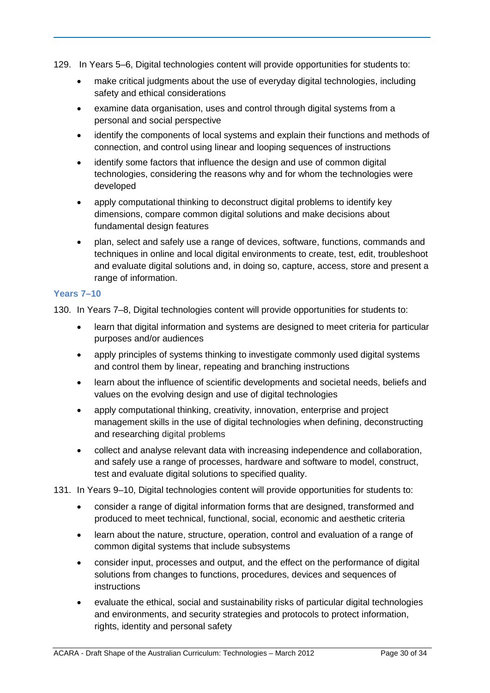- 129. In Years 5*–*6, Digital technologies content will provide opportunities for students to:
	- make critical judgments about the use of everyday digital technologies, including safety and ethical considerations
	- examine data organisation, uses and control through digital systems from a personal and social perspective
	- identify the components of local systems and explain their functions and methods of connection, and control using linear and looping sequences of instructions
	- identify some factors that influence the design and use of common digital technologies, considering the reasons why and for whom the technologies were developed
	- apply computational thinking to deconstruct digital problems to identify key dimensions, compare common digital solutions and make decisions about fundamental design features
	- plan, select and safely use a range of devices, software, functions, commands and techniques in online and local digital environments to create, test, edit, troubleshoot and evaluate digital solutions and, in doing so, capture, access, store and present a range of information.

### **Years 7–10**

130. In Years 7*–*8, Digital technologies content will provide opportunities for students to:

- learn that digital information and systems are designed to meet criteria for particular purposes and/or audiences
- apply principles of systems thinking to investigate commonly used digital systems and control them by linear, repeating and branching instructions
- learn about the influence of scientific developments and societal needs, beliefs and values on the evolving design and use of digital technologies
- apply computational thinking, creativity, innovation, enterprise and project management skills in the use of digital technologies when defining, deconstructing and researching digital problems
- collect and analyse relevant data with increasing independence and collaboration, and safely use a range of processes, hardware and software to model, construct, test and evaluate digital solutions to specified quality.
- 131. In Years 9*–*10, Digital technologies content will provide opportunities for students to:
	- consider a range of digital information forms that are designed, transformed and produced to meet technical, functional, social, economic and aesthetic criteria
	- learn about the nature, structure, operation, control and evaluation of a range of common digital systems that include subsystems
	- consider input, processes and output, and the effect on the performance of digital solutions from changes to functions, procedures, devices and sequences of instructions
	- evaluate the ethical, social and sustainability risks of particular digital technologies and environments, and security strategies and protocols to protect information, rights, identity and personal safety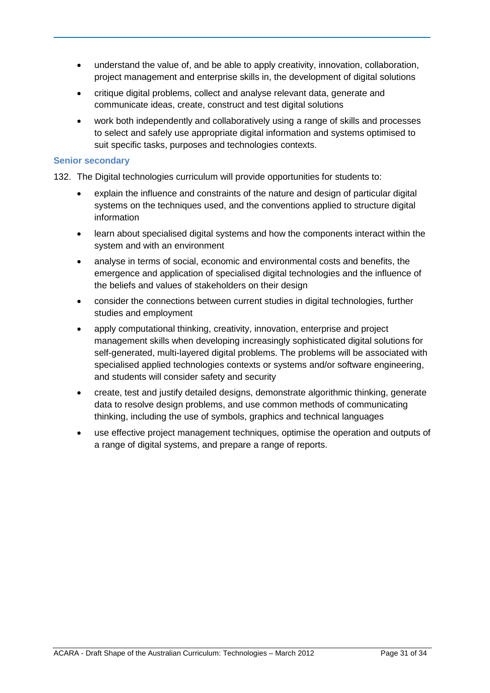- understand the value of, and be able to apply creativity, innovation, collaboration, project management and enterprise skills in, the development of digital solutions
- critique digital problems, collect and analyse relevant data, generate and communicate ideas, create, construct and test digital solutions
- work both independently and collaboratively using a range of skills and processes to select and safely use appropriate digital information and systems optimised to suit specific tasks, purposes and technologies contexts.

### **Senior secondary**

132. The Digital technologies curriculum will provide opportunities for students to:

- explain the influence and constraints of the nature and design of particular digital systems on the techniques used, and the conventions applied to structure digital information
- learn about specialised digital systems and how the components interact within the system and with an environment
- analyse in terms of social, economic and environmental costs and benefits, the emergence and application of specialised digital technologies and the influence of the beliefs and values of stakeholders on their design
- consider the connections between current studies in digital technologies, further studies and employment
- apply computational thinking, creativity, innovation, enterprise and project management skills when developing increasingly sophisticated digital solutions for self-generated, multi-layered digital problems. The problems will be associated with specialised applied technologies contexts or systems and/or software engineering, and students will consider safety and security
- create, test and justify detailed designs, demonstrate algorithmic thinking, generate data to resolve design problems, and use common methods of communicating thinking, including the use of symbols, graphics and technical languages
- use effective project management techniques, optimise the operation and outputs of a range of digital systems, and prepare a range of reports.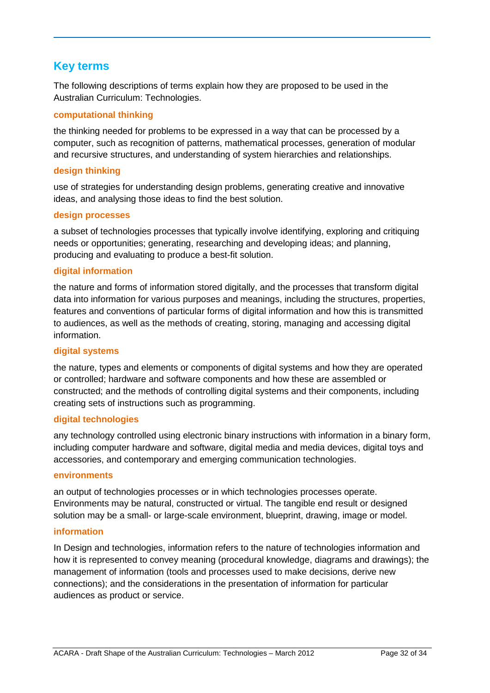# **Key terms**

The following descriptions of terms explain how they are proposed to be used in the Australian Curriculum: Technologies.

### **computational thinking**

the thinking needed for problems to be expressed in a way that can be processed by a computer, such as recognition of patterns, mathematical processes, generation of modular and recursive structures, and understanding of system hierarchies and relationships.

### **design thinking**

use of strategies for understanding design problems, generating creative and innovative ideas, and analysing those ideas to find the best solution.

### **design processes**

a subset of technologies processes that typically involve identifying, exploring and critiquing needs or opportunities; generating, researching and developing ideas; and planning, producing and evaluating to produce a best-fit solution.

### **digital information**

the nature and forms of information stored digitally, and the processes that transform digital data into information for various purposes and meanings, including the structures, properties, features and conventions of particular forms of digital information and how this is transmitted to audiences, as well as the methods of creating, storing, managing and accessing digital information.

### **digital systems**

the nature, types and elements or components of digital systems and how they are operated or controlled; hardware and software components and how these are assembled or constructed; and the methods of controlling digital systems and their components, including creating sets of instructions such as programming.

### **digital technologies**

any technology controlled using electronic binary instructions with information in a binary form, including computer hardware and software, digital media and media devices, digital toys and accessories, and contemporary and emerging communication technologies.

#### **environments**

an output of technologies processes or in which technologies processes operate. Environments may be natural, constructed or virtual. The tangible end result or designed solution may be a small- or large-scale environment, blueprint, drawing, image or model.

### **information**

In Design and technologies, information refers to the nature of technologies information and how it is represented to convey meaning (procedural knowledge, diagrams and drawings); the management of information (tools and processes used to make decisions, derive new connections); and the considerations in the presentation of information for particular audiences as product or service.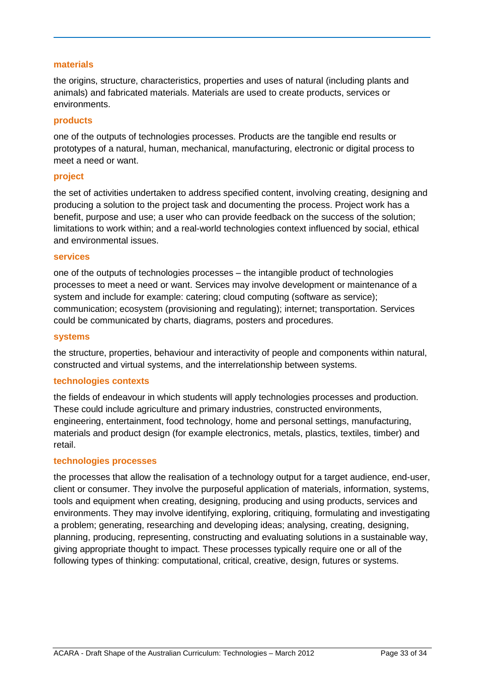#### **materials**

the origins, structure, characteristics, properties and uses of natural (including plants and animals) and fabricated materials. Materials are used to create products, services or environments.

#### **products**

one of the outputs of technologies processes. Products are the tangible end results or prototypes of a natural, human, mechanical, manufacturing, electronic or digital process to meet a need or want.

#### **project**

the set of activities undertaken to address specified content, involving creating, designing and producing a solution to the project task and documenting the process. Project work has a benefit, purpose and use; a user who can provide feedback on the success of the solution; limitations to work within; and a real-world technologies context influenced by social, ethical and environmental issues.

#### **services**

one of the outputs of technologies processes – the intangible product of technologies processes to meet a need or want. Services may involve development or maintenance of a system and include for example: catering; cloud computing (software as service); communication; ecosystem (provisioning and regulating); internet; transportation. Services could be communicated by charts, diagrams, posters and procedures.

#### **systems**

the structure, properties, behaviour and interactivity of people and components within natural, constructed and virtual systems, and the interrelationship between systems.

### **technologies contexts**

the fields of endeavour in which students will apply technologies processes and production. These could include agriculture and primary industries, constructed environments, engineering, entertainment, food technology, home and personal settings, manufacturing, materials and product design (for example electronics, metals, plastics, textiles, timber) and retail.

#### **technologies processes**

the processes that allow the realisation of a technology output for a target audience, end-user, client or consumer. They involve the purposeful application of materials, information, systems, tools and equipment when creating, designing, producing and using products, services and environments. They may involve identifying, exploring, critiquing, formulating and investigating a problem; generating, researching and developing ideas; analysing, creating, designing, planning, producing, representing, constructing and evaluating solutions in a sustainable way, giving appropriate thought to impact. These processes typically require one or all of the following types of thinking: computational, critical, creative, design, futures or systems.